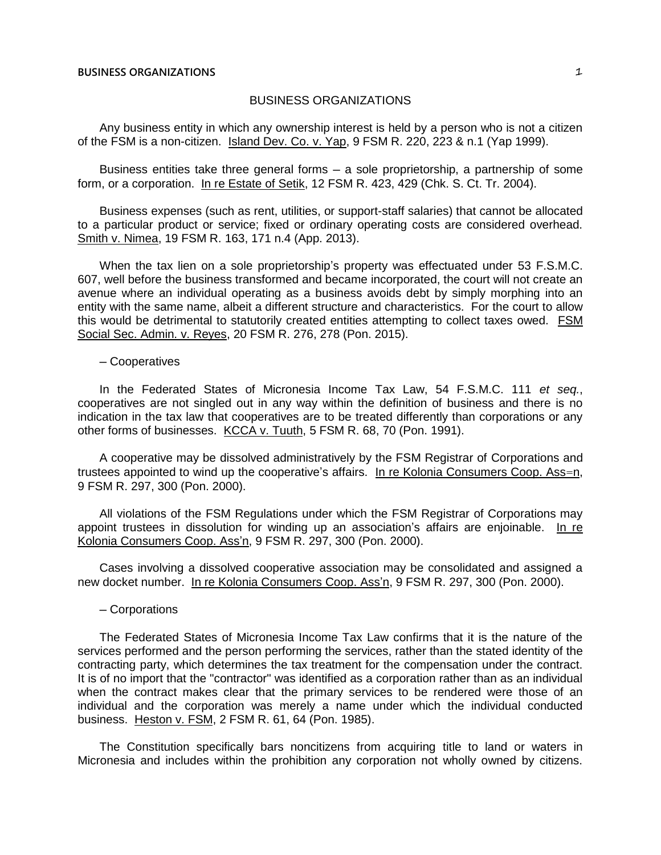#### **BUSINESS ORGANIZATIONS** 1

# BUSINESS ORGANIZATIONS

Any business entity in which any ownership interest is held by a person who is not a citizen of the FSM is a non-citizen. Island Dev. Co. v. Yap, 9 FSM R. 220, 223 & n.1 (Yap 1999).

Business entities take three general forms  $-$  a sole proprietorship, a partnership of some form, or a corporation. In re Estate of Setik, 12 FSM R. 423, 429 (Chk. S. Ct. Tr. 2004).

Business expenses (such as rent, utilities, or support-staff salaries) that cannot be allocated to a particular product or service; fixed or ordinary operating costs are considered overhead. Smith v. Nimea, 19 FSM R. 163, 171 n.4 (App. 2013).

When the tax lien on a sole proprietorship's property was effectuated under 53 F.S.M.C. 607, well before the business transformed and became incorporated, the court will not create an avenue where an individual operating as a business avoids debt by simply morphing into an entity with the same name, albeit a different structure and characteristics. For the court to allow this would be detrimental to statutorily created entities attempting to collect taxes owed. FSM Social Sec. Admin. v. Reyes, 20 FSM R. 276, 278 (Pon. 2015).

# ─ Cooperatives

In the Federated States of Micronesia Income Tax Law, 54 F.S.M.C. 111 *et seq.*, cooperatives are not singled out in any way within the definition of business and there is no indication in the tax law that cooperatives are to be treated differently than corporations or any other forms of businesses. KCCA v. Tuuth, 5 FSM R. 68, 70 (Pon. 1991).

A cooperative may be dissolved administratively by the FSM Registrar of Corporations and trustees appointed to wind up the cooperative's affairs. In re Kolonia Consumers Coop. Ass=n, 9 FSM R. 297, 300 (Pon. 2000).

All violations of the FSM Regulations under which the FSM Registrar of Corporations may appoint trustees in dissolution for winding up an association's affairs are enjoinable. In re Kolonia Consumers Coop. Ass'n, 9 FSM R. 297, 300 (Pon. 2000).

Cases involving a dissolved cooperative association may be consolidated and assigned a new docket number. In re Kolonia Consumers Coop. Ass'n, 9 FSM R. 297, 300 (Pon. 2000).

#### ─ Corporations

The Federated States of Micronesia Income Tax Law confirms that it is the nature of the services performed and the person performing the services, rather than the stated identity of the contracting party, which determines the tax treatment for the compensation under the contract. It is of no import that the "contractor" was identified as a corporation rather than as an individual when the contract makes clear that the primary services to be rendered were those of an individual and the corporation was merely a name under which the individual conducted business. Heston v. FSM, 2 FSM R. 61, 64 (Pon. 1985).

The Constitution specifically bars noncitizens from acquiring title to land or waters in Micronesia and includes within the prohibition any corporation not wholly owned by citizens.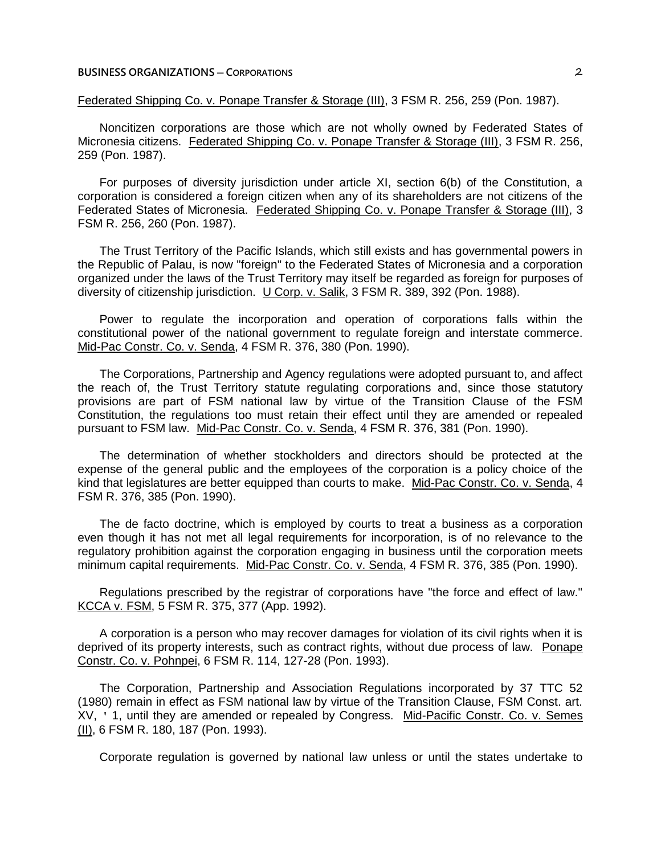Federated Shipping Co. v. Ponape Transfer & Storage (III), 3 FSM R. 256, 259 (Pon. 1987).

Noncitizen corporations are those which are not wholly owned by Federated States of Micronesia citizens. Federated Shipping Co. v. Ponape Transfer & Storage (III), 3 FSM R. 256, 259 (Pon. 1987).

For purposes of diversity jurisdiction under article XI, section 6(b) of the Constitution, a corporation is considered a foreign citizen when any of its shareholders are not citizens of the Federated States of Micronesia. Federated Shipping Co. v. Ponape Transfer & Storage (III), 3 FSM R. 256, 260 (Pon. 1987).

The Trust Territory of the Pacific Islands, which still exists and has governmental powers in the Republic of Palau, is now "foreign" to the Federated States of Micronesia and a corporation organized under the laws of the Trust Territory may itself be regarded as foreign for purposes of diversity of citizenship jurisdiction. U Corp. v. Salik, 3 FSM R. 389, 392 (Pon. 1988).

Power to regulate the incorporation and operation of corporations falls within the constitutional power of the national government to regulate foreign and interstate commerce. Mid-Pac Constr. Co. v. Senda, 4 FSM R. 376, 380 (Pon. 1990).

The Corporations, Partnership and Agency regulations were adopted pursuant to, and affect the reach of, the Trust Territory statute regulating corporations and, since those statutory provisions are part of FSM national law by virtue of the Transition Clause of the FSM Constitution, the regulations too must retain their effect until they are amended or repealed pursuant to FSM law. Mid-Pac Constr. Co. v. Senda, 4 FSM R. 376, 381 (Pon. 1990).

The determination of whether stockholders and directors should be protected at the expense of the general public and the employees of the corporation is a policy choice of the kind that legislatures are better equipped than courts to make. Mid-Pac Constr. Co. v. Senda, 4 FSM R. 376, 385 (Pon. 1990).

The de facto doctrine, which is employed by courts to treat a business as a corporation even though it has not met all legal requirements for incorporation, is of no relevance to the regulatory prohibition against the corporation engaging in business until the corporation meets minimum capital requirements. Mid-Pac Constr. Co. v. Senda, 4 FSM R. 376, 385 (Pon. 1990).

Regulations prescribed by the registrar of corporations have "the force and effect of law." KCCA v. FSM, 5 FSM R. 375, 377 (App. 1992).

A corporation is a person who may recover damages for violation of its civil rights when it is deprived of its property interests, such as contract rights, without due process of law. Ponape Constr. Co. v. Pohnpei, 6 FSM R. 114, 127-28 (Pon. 1993).

The Corporation, Partnership and Association Regulations incorporated by 37 TTC 52 (1980) remain in effect as FSM national law by virtue of the Transition Clause, FSM Const. art. XV, ' 1, until they are amended or repealed by Congress. Mid-Pacific Constr. Co. v. Semes (II), 6 FSM R. 180, 187 (Pon. 1993).

Corporate regulation is governed by national law unless or until the states undertake to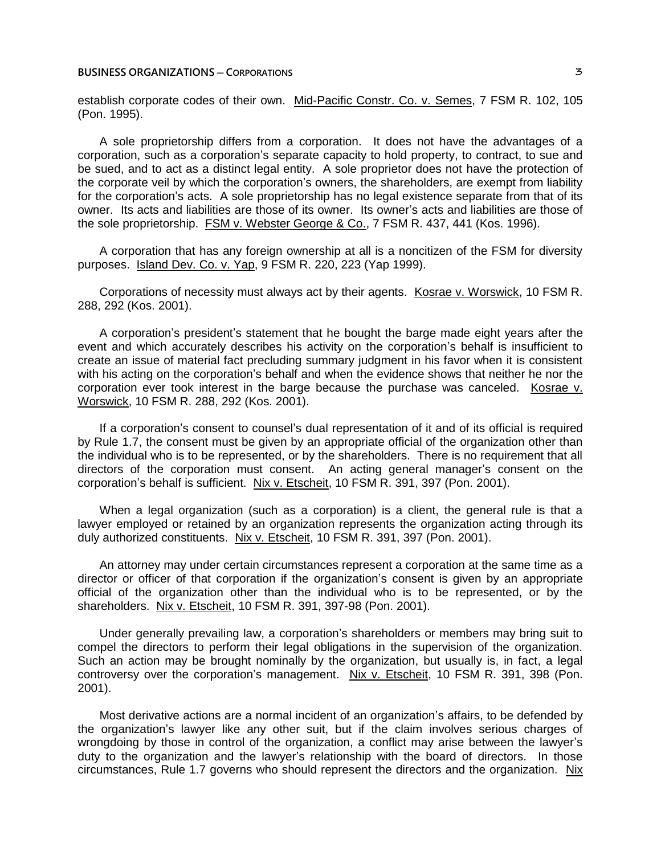establish corporate codes of their own. Mid-Pacific Constr. Co. v. Semes, 7 FSM R. 102, 105 (Pon. 1995).

A sole proprietorship differs from a corporation. It does not have the advantages of a corporation, such as a corporation's separate capacity to hold property, to contract, to sue and be sued, and to act as a distinct legal entity. A sole proprietor does not have the protection of the corporate veil by which the corporation's owners, the shareholders, are exempt from liability for the corporation's acts. A sole proprietorship has no legal existence separate from that of its owner. Its acts and liabilities are those of its owner. Its owner's acts and liabilities are those of the sole proprietorship. FSM v. Webster George & Co., 7 FSM R. 437, 441 (Kos. 1996).

A corporation that has any foreign ownership at all is a noncitizen of the FSM for diversity purposes. Island Dev. Co. v. Yap, 9 FSM R. 220, 223 (Yap 1999).

Corporations of necessity must always act by their agents. Kosrae v. Worswick, 10 FSM R. 288, 292 (Kos. 2001).

A corporation's president's statement that he bought the barge made eight years after the event and which accurately describes his activity on the corporation's behalf is insufficient to create an issue of material fact precluding summary judgment in his favor when it is consistent with his acting on the corporation's behalf and when the evidence shows that neither he nor the corporation ever took interest in the barge because the purchase was canceled. Kosrae v. Worswick, 10 FSM R. 288, 292 (Kos. 2001).

If a corporation's consent to counsel's dual representation of it and of its official is required by Rule 1.7, the consent must be given by an appropriate official of the organization other than the individual who is to be represented, or by the shareholders. There is no requirement that all directors of the corporation must consent. An acting general manager's consent on the corporation's behalf is sufficient. Nix v. Etscheit, 10 FSM R. 391, 397 (Pon. 2001).

When a legal organization (such as a corporation) is a client, the general rule is that a lawyer employed or retained by an organization represents the organization acting through its duly authorized constituents. Nix v. Etscheit, 10 FSM R. 391, 397 (Pon. 2001).

An attorney may under certain circumstances represent a corporation at the same time as a director or officer of that corporation if the organization's consent is given by an appropriate official of the organization other than the individual who is to be represented, or by the shareholders. Nix v. Etscheit, 10 FSM R. 391, 397-98 (Pon. 2001).

Under generally prevailing law, a corporation's shareholders or members may bring suit to compel the directors to perform their legal obligations in the supervision of the organization. Such an action may be brought nominally by the organization, but usually is, in fact, a legal controversy over the corporation's management. Nix v. Etscheit, 10 FSM R. 391, 398 (Pon. 2001).

Most derivative actions are a normal incident of an organization's affairs, to be defended by the organization's lawyer like any other suit, but if the claim involves serious charges of wrongdoing by those in control of the organization, a conflict may arise between the lawyer's duty to the organization and the lawyer's relationship with the board of directors. In those circumstances, Rule 1.7 governs who should represent the directors and the organization. Nix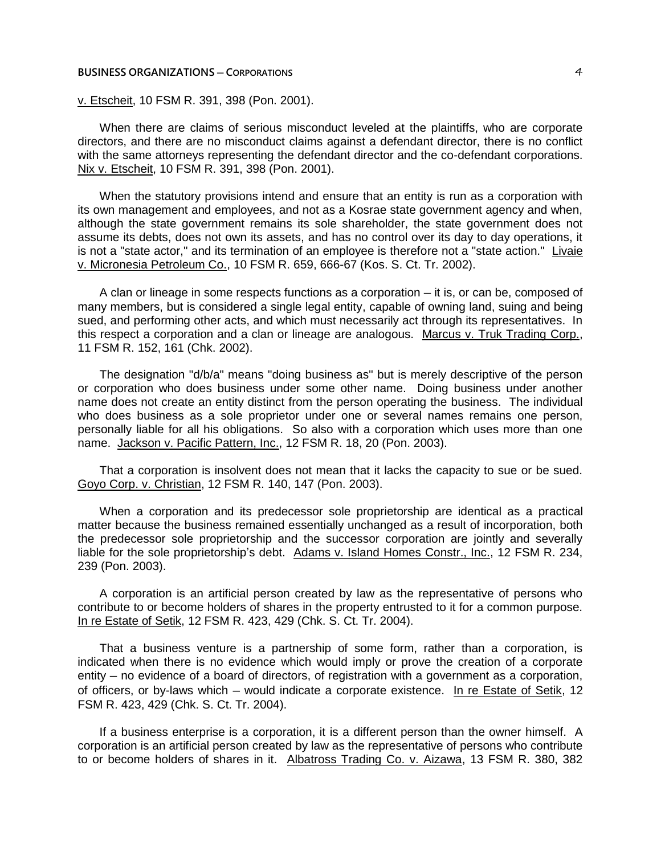v. Etscheit, 10 FSM R. 391, 398 (Pon. 2001).

When there are claims of serious misconduct leveled at the plaintiffs, who are corporate directors, and there are no misconduct claims against a defendant director, there is no conflict with the same attorneys representing the defendant director and the co-defendant corporations. Nix v. Etscheit, 10 FSM R. 391, 398 (Pon. 2001).

When the statutory provisions intend and ensure that an entity is run as a corporation with its own management and employees, and not as a Kosrae state government agency and when, although the state government remains its sole shareholder, the state government does not assume its debts, does not own its assets, and has no control over its day to day operations, it is not a "state actor," and its termination of an employee is therefore not a "state action." Livaie v. Micronesia Petroleum Co., 10 FSM R. 659, 666-67 (Kos. S. Ct. Tr. 2002).

A clan or lineage in some respects functions as a corporation — it is, or can be, composed of many members, but is considered a single legal entity, capable of owning land, suing and being sued, and performing other acts, and which must necessarily act through its representatives. In this respect a corporation and a clan or lineage are analogous. Marcus v. Truk Trading Corp., 11 FSM R. 152, 161 (Chk. 2002).

The designation "d/b/a" means "doing business as" but is merely descriptive of the person or corporation who does business under some other name. Doing business under another name does not create an entity distinct from the person operating the business. The individual who does business as a sole proprietor under one or several names remains one person, personally liable for all his obligations. So also with a corporation which uses more than one name. Jackson v. Pacific Pattern, Inc., 12 FSM R. 18, 20 (Pon. 2003).

That a corporation is insolvent does not mean that it lacks the capacity to sue or be sued. Goyo Corp. v. Christian, 12 FSM R. 140, 147 (Pon. 2003).

When a corporation and its predecessor sole proprietorship are identical as a practical matter because the business remained essentially unchanged as a result of incorporation, both the predecessor sole proprietorship and the successor corporation are jointly and severally liable for the sole proprietorship's debt. Adams v. Island Homes Constr., Inc., 12 FSM R. 234, 239 (Pon. 2003).

A corporation is an artificial person created by law as the representative of persons who contribute to or become holders of shares in the property entrusted to it for a common purpose. In re Estate of Setik, 12 FSM R. 423, 429 (Chk. S. Ct. Tr. 2004).

That a business venture is a partnership of some form, rather than a corporation, is indicated when there is no evidence which would imply or prove the creation of a corporate entity – no evidence of a board of directors, of registration with a government as a corporation, of officers, or by-laws which — would indicate a corporate existence. In re Estate of Setik, 12 FSM R. 423, 429 (Chk. S. Ct. Tr. 2004).

If a business enterprise is a corporation, it is a different person than the owner himself. A corporation is an artificial person created by law as the representative of persons who contribute to or become holders of shares in it. Albatross Trading Co. v. Aizawa, 13 FSM R. 380, 382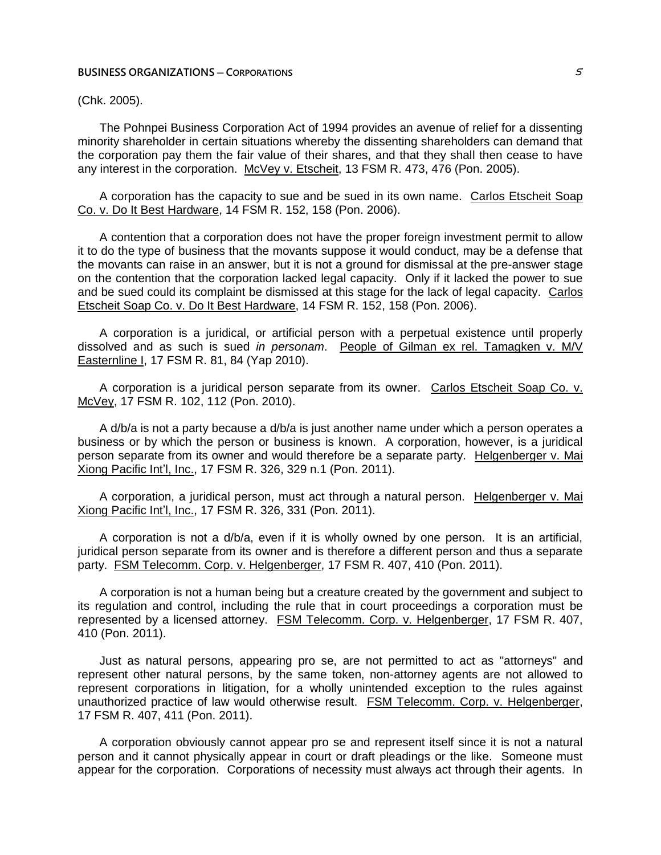# (Chk. 2005).

The Pohnpei Business Corporation Act of 1994 provides an avenue of relief for a dissenting minority shareholder in certain situations whereby the dissenting shareholders can demand that the corporation pay them the fair value of their shares, and that they shall then cease to have any interest in the corporation. McVey v. Etscheit, 13 FSM R. 473, 476 (Pon. 2005).

A corporation has the capacity to sue and be sued in its own name. Carlos Etscheit Soap Co. v. Do It Best Hardware, 14 FSM R. 152, 158 (Pon. 2006).

A contention that a corporation does not have the proper foreign investment permit to allow it to do the type of business that the movants suppose it would conduct, may be a defense that the movants can raise in an answer, but it is not a ground for dismissal at the pre-answer stage on the contention that the corporation lacked legal capacity. Only if it lacked the power to sue and be sued could its complaint be dismissed at this stage for the lack of legal capacity. Carlos Etscheit Soap Co. v. Do It Best Hardware, 14 FSM R. 152, 158 (Pon. 2006).

A corporation is a juridical, or artificial person with a perpetual existence until properly dissolved and as such is sued *in personam*. People of Gilman ex rel. Tamagken v. M/V Easternline I, 17 FSM R. 81, 84 (Yap 2010).

A corporation is a juridical person separate from its owner. Carlos Etscheit Soap Co. v. McVey, 17 FSM R. 102, 112 (Pon. 2010).

A d/b/a is not a party because a d/b/a is just another name under which a person operates a business or by which the person or business is known. A corporation, however, is a juridical person separate from its owner and would therefore be a separate party. Helgenberger v. Mai Xiong Pacific Int'l, Inc., 17 FSM R. 326, 329 n.1 (Pon. 2011).

A corporation, a juridical person, must act through a natural person. Helgenberger v. Mai Xiong Pacific Int'l, Inc., 17 FSM R. 326, 331 (Pon. 2011).

A corporation is not a d/b/a, even if it is wholly owned by one person. It is an artificial, juridical person separate from its owner and is therefore a different person and thus a separate party. FSM Telecomm. Corp. v. Helgenberger, 17 FSM R. 407, 410 (Pon. 2011).

A corporation is not a human being but a creature created by the government and subject to its regulation and control, including the rule that in court proceedings a corporation must be represented by a licensed attorney. FSM Telecomm. Corp. v. Helgenberger, 17 FSM R. 407, 410 (Pon. 2011).

Just as natural persons, appearing pro se, are not permitted to act as "attorneys" and represent other natural persons, by the same token, non-attorney agents are not allowed to represent corporations in litigation, for a wholly unintended exception to the rules against unauthorized practice of law would otherwise result. FSM Telecomm. Corp. v. Helgenberger, 17 FSM R. 407, 411 (Pon. 2011).

A corporation obviously cannot appear pro se and represent itself since it is not a natural person and it cannot physically appear in court or draft pleadings or the like. Someone must appear for the corporation. Corporations of necessity must always act through their agents. In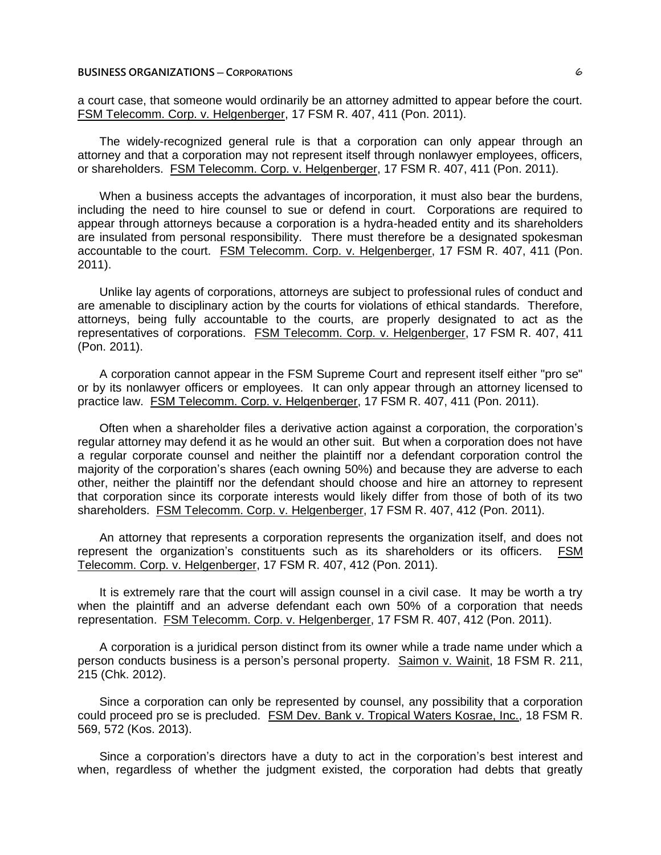a court case, that someone would ordinarily be an attorney admitted to appear before the court. FSM Telecomm. Corp. v. Helgenberger, 17 FSM R. 407, 411 (Pon. 2011).

The widely-recognized general rule is that a corporation can only appear through an attorney and that a corporation may not represent itself through nonlawyer employees, officers, or shareholders. FSM Telecomm. Corp. v. Helgenberger, 17 FSM R. 407, 411 (Pon. 2011).

When a business accepts the advantages of incorporation, it must also bear the burdens, including the need to hire counsel to sue or defend in court. Corporations are required to appear through attorneys because a corporation is a hydra-headed entity and its shareholders are insulated from personal responsibility. There must therefore be a designated spokesman accountable to the court. FSM Telecomm. Corp. v. Helgenberger, 17 FSM R. 407, 411 (Pon. 2011).

Unlike lay agents of corporations, attorneys are subject to professional rules of conduct and are amenable to disciplinary action by the courts for violations of ethical standards. Therefore, attorneys, being fully accountable to the courts, are properly designated to act as the representatives of corporations. FSM Telecomm. Corp. v. Helgenberger, 17 FSM R. 407, 411 (Pon. 2011).

A corporation cannot appear in the FSM Supreme Court and represent itself either "pro se" or by its nonlawyer officers or employees. It can only appear through an attorney licensed to practice law. FSM Telecomm. Corp. v. Helgenberger, 17 FSM R. 407, 411 (Pon. 2011).

Often when a shareholder files a derivative action against a corporation, the corporation's regular attorney may defend it as he would an other suit. But when a corporation does not have a regular corporate counsel and neither the plaintiff nor a defendant corporation control the majority of the corporation's shares (each owning 50%) and because they are adverse to each other, neither the plaintiff nor the defendant should choose and hire an attorney to represent that corporation since its corporate interests would likely differ from those of both of its two shareholders. FSM Telecomm. Corp. v. Helgenberger, 17 FSM R. 407, 412 (Pon. 2011).

An attorney that represents a corporation represents the organization itself, and does not represent the organization's constituents such as its shareholders or its officers. FSM Telecomm. Corp. v. Helgenberger, 17 FSM R. 407, 412 (Pon. 2011).

It is extremely rare that the court will assign counsel in a civil case. It may be worth a try when the plaintiff and an adverse defendant each own 50% of a corporation that needs representation. FSM Telecomm. Corp. v. Helgenberger, 17 FSM R. 407, 412 (Pon. 2011).

A corporation is a juridical person distinct from its owner while a trade name under which a person conducts business is a person's personal property. Saimon v. Wainit, 18 FSM R. 211, 215 (Chk. 2012).

Since a corporation can only be represented by counsel, any possibility that a corporation could proceed pro se is precluded. FSM Dev. Bank v. Tropical Waters Kosrae, Inc., 18 FSM R. 569, 572 (Kos. 2013).

Since a corporation's directors have a duty to act in the corporation's best interest and when, regardless of whether the judgment existed, the corporation had debts that greatly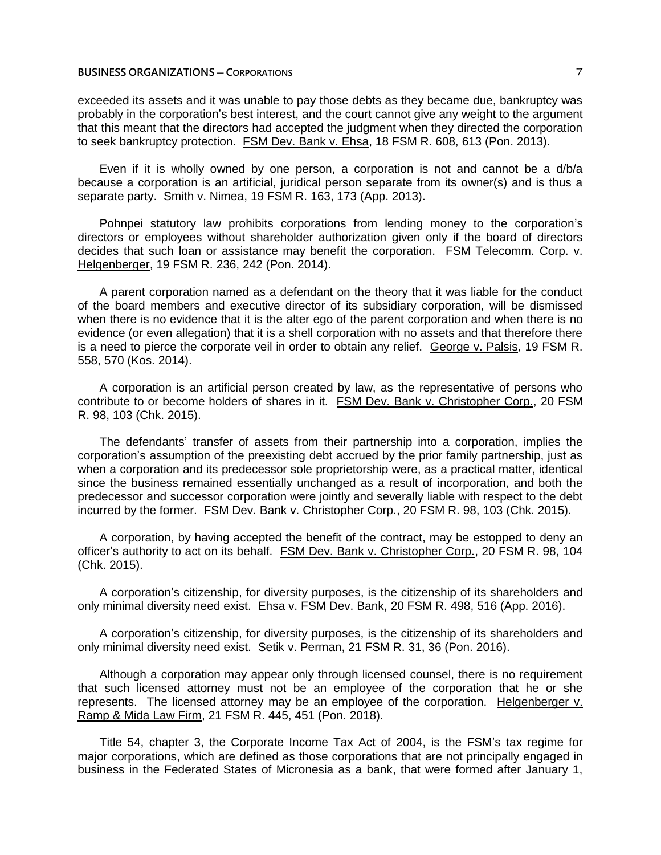exceeded its assets and it was unable to pay those debts as they became due, bankruptcy was probably in the corporation's best interest, and the court cannot give any weight to the argument that this meant that the directors had accepted the judgment when they directed the corporation to seek bankruptcy protection. FSM Dev. Bank v. Ehsa, 18 FSM R. 608, 613 (Pon. 2013).

Even if it is wholly owned by one person, a corporation is not and cannot be a d/b/a because a corporation is an artificial, juridical person separate from its owner(s) and is thus a separate party. Smith v. Nimea, 19 FSM R. 163, 173 (App. 2013).

Pohnpei statutory law prohibits corporations from lending money to the corporation's directors or employees without shareholder authorization given only if the board of directors decides that such loan or assistance may benefit the corporation. FSM Telecomm. Corp. v. Helgenberger, 19 FSM R. 236, 242 (Pon. 2014).

A parent corporation named as a defendant on the theory that it was liable for the conduct of the board members and executive director of its subsidiary corporation, will be dismissed when there is no evidence that it is the alter ego of the parent corporation and when there is no evidence (or even allegation) that it is a shell corporation with no assets and that therefore there is a need to pierce the corporate veil in order to obtain any relief. George v. Palsis, 19 FSM R. 558, 570 (Kos. 2014).

A corporation is an artificial person created by law, as the representative of persons who contribute to or become holders of shares in it. FSM Dev. Bank v. Christopher Corp., 20 FSM R. 98, 103 (Chk. 2015).

The defendants' transfer of assets from their partnership into a corporation, implies the corporation's assumption of the preexisting debt accrued by the prior family partnership, just as when a corporation and its predecessor sole proprietorship were, as a practical matter, identical since the business remained essentially unchanged as a result of incorporation, and both the predecessor and successor corporation were jointly and severally liable with respect to the debt incurred by the former. FSM Dev. Bank v. Christopher Corp., 20 FSM R. 98, 103 (Chk. 2015).

A corporation, by having accepted the benefit of the contract, may be estopped to deny an officer's authority to act on its behalf. FSM Dev. Bank v. Christopher Corp., 20 FSM R. 98, 104 (Chk. 2015).

A corporation's citizenship, for diversity purposes, is the citizenship of its shareholders and only minimal diversity need exist. Ehsa v. FSM Dev. Bank, 20 FSM R. 498, 516 (App. 2016).

A corporation's citizenship, for diversity purposes, is the citizenship of its shareholders and only minimal diversity need exist. Setik v. Perman, 21 FSM R. 31, 36 (Pon. 2016).

Although a corporation may appear only through licensed counsel, there is no requirement that such licensed attorney must not be an employee of the corporation that he or she represents. The licensed attorney may be an employee of the corporation. Helgenberger v. Ramp & Mida Law Firm, 21 FSM R. 445, 451 (Pon. 2018).

Title 54, chapter 3, the Corporate Income Tax Act of 2004, is the FSM's tax regime for major corporations, which are defined as those corporations that are not principally engaged in business in the Federated States of Micronesia as a bank, that were formed after January 1,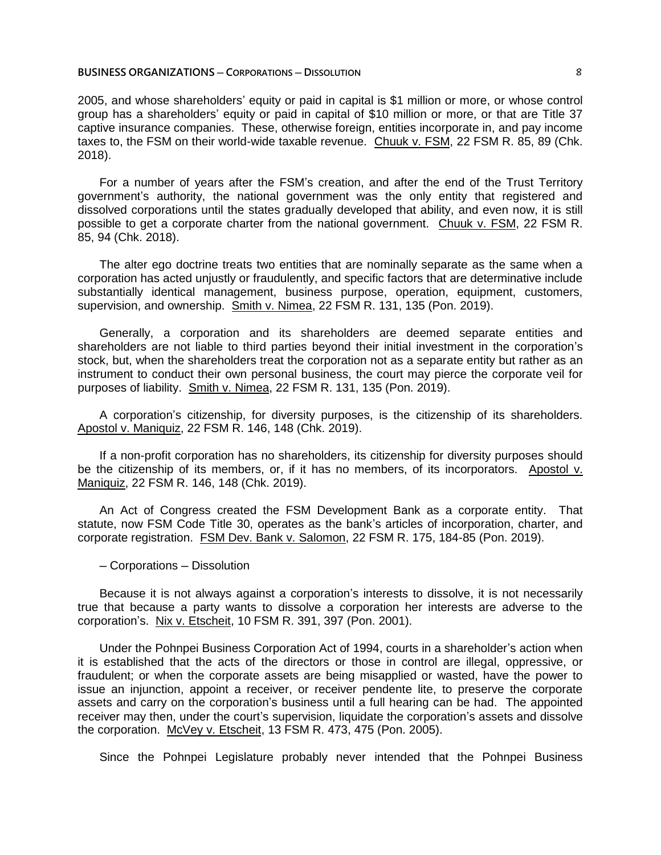# **BUSINESS ORGANIZATIONS ─ CORPORATIONS ─ DISSOLUTION** 8

2005, and whose shareholders' equity or paid in capital is \$1 million or more, or whose control group has a shareholders' equity or paid in capital of \$10 million or more, or that are Title 37 captive insurance companies. These, otherwise foreign, entities incorporate in, and pay income taxes to, the FSM on their world-wide taxable revenue. Chuuk v. FSM, 22 FSM R. 85, 89 (Chk. 2018).

For a number of years after the FSM's creation, and after the end of the Trust Territory government's authority, the national government was the only entity that registered and dissolved corporations until the states gradually developed that ability, and even now, it is still possible to get a corporate charter from the national government. Chuuk v. FSM, 22 FSM R. 85, 94 (Chk. 2018).

The alter ego doctrine treats two entities that are nominally separate as the same when a corporation has acted unjustly or fraudulently, and specific factors that are determinative include substantially identical management, business purpose, operation, equipment, customers, supervision, and ownership. Smith v. Nimea, 22 FSM R. 131, 135 (Pon. 2019).

Generally, a corporation and its shareholders are deemed separate entities and shareholders are not liable to third parties beyond their initial investment in the corporation's stock, but, when the shareholders treat the corporation not as a separate entity but rather as an instrument to conduct their own personal business, the court may pierce the corporate veil for purposes of liability. Smith v. Nimea, 22 FSM R. 131, 135 (Pon. 2019).

A corporation's citizenship, for diversity purposes, is the citizenship of its shareholders. Apostol v. Maniquiz, 22 FSM R. 146, 148 (Chk. 2019).

If a non-profit corporation has no shareholders, its citizenship for diversity purposes should be the citizenship of its members, or, if it has no members, of its incorporators. Apostol v. Maniquiz, 22 FSM R. 146, 148 (Chk. 2019).

An Act of Congress created the FSM Development Bank as a corporate entity. That statute, now FSM Code Title 30, operates as the bank's articles of incorporation, charter, and corporate registration. FSM Dev. Bank v. Salomon, 22 FSM R. 175, 184-85 (Pon. 2019).

─ Corporations ─ Dissolution

Because it is not always against a corporation's interests to dissolve, it is not necessarily true that because a party wants to dissolve a corporation her interests are adverse to the corporation's. Nix v. Etscheit, 10 FSM R. 391, 397 (Pon. 2001).

Under the Pohnpei Business Corporation Act of 1994, courts in a shareholder's action when it is established that the acts of the directors or those in control are illegal, oppressive, or fraudulent; or when the corporate assets are being misapplied or wasted, have the power to issue an injunction, appoint a receiver, or receiver pendente lite, to preserve the corporate assets and carry on the corporation's business until a full hearing can be had. The appointed receiver may then, under the court's supervision, liquidate the corporation's assets and dissolve the corporation. McVey v. Etscheit, 13 FSM R. 473, 475 (Pon. 2005).

Since the Pohnpei Legislature probably never intended that the Pohnpei Business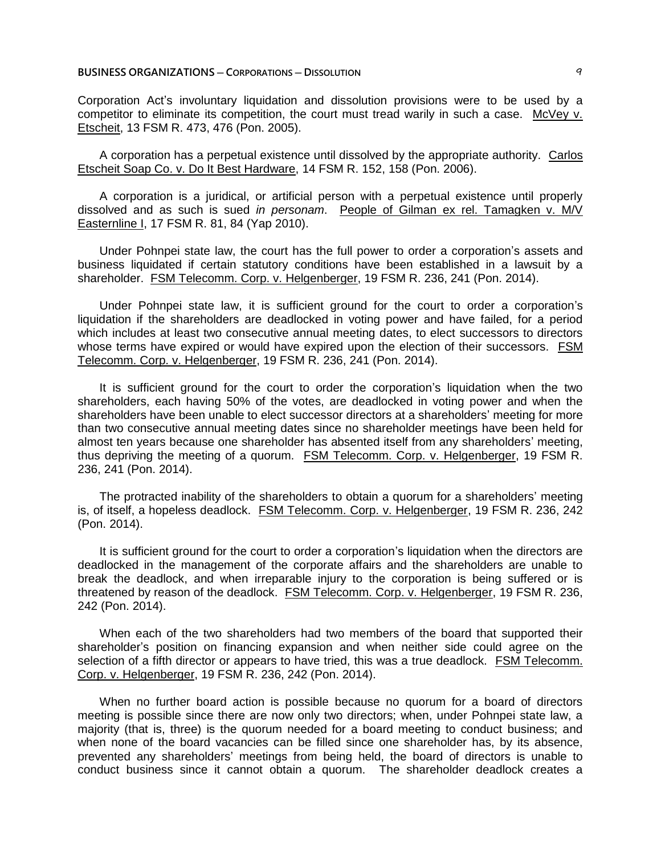### **BUSINESS ORGANIZATIONS ─ CORPORATIONS ─ DISSOLUTION** 9

Corporation Act's involuntary liquidation and dissolution provisions were to be used by a competitor to eliminate its competition, the court must tread warily in such a case. McVey v. Etscheit, 13 FSM R. 473, 476 (Pon. 2005).

A corporation has a perpetual existence until dissolved by the appropriate authority. Carlos Etscheit Soap Co. v. Do It Best Hardware, 14 FSM R. 152, 158 (Pon. 2006).

A corporation is a juridical, or artificial person with a perpetual existence until properly dissolved and as such is sued *in personam*. People of Gilman ex rel. Tamagken v. M/V Easternline I, 17 FSM R. 81, 84 (Yap 2010).

Under Pohnpei state law, the court has the full power to order a corporation's assets and business liquidated if certain statutory conditions have been established in a lawsuit by a shareholder. FSM Telecomm. Corp. v. Helgenberger, 19 FSM R. 236, 241 (Pon. 2014).

Under Pohnpei state law, it is sufficient ground for the court to order a corporation's liquidation if the shareholders are deadlocked in voting power and have failed, for a period which includes at least two consecutive annual meeting dates, to elect successors to directors whose terms have expired or would have expired upon the election of their successors. FSM Telecomm. Corp. v. Helgenberger, 19 FSM R. 236, 241 (Pon. 2014).

It is sufficient ground for the court to order the corporation's liquidation when the two shareholders, each having 50% of the votes, are deadlocked in voting power and when the shareholders have been unable to elect successor directors at a shareholders' meeting for more than two consecutive annual meeting dates since no shareholder meetings have been held for almost ten years because one shareholder has absented itself from any shareholders' meeting, thus depriving the meeting of a quorum. FSM Telecomm. Corp. v. Helgenberger, 19 FSM R. 236, 241 (Pon. 2014).

The protracted inability of the shareholders to obtain a quorum for a shareholders' meeting is, of itself, a hopeless deadlock. FSM Telecomm. Corp. v. Helgenberger, 19 FSM R. 236, 242 (Pon. 2014).

It is sufficient ground for the court to order a corporation's liquidation when the directors are deadlocked in the management of the corporate affairs and the shareholders are unable to break the deadlock, and when irreparable injury to the corporation is being suffered or is threatened by reason of the deadlock. FSM Telecomm. Corp. v. Helgenberger, 19 FSM R. 236, 242 (Pon. 2014).

When each of the two shareholders had two members of the board that supported their shareholder's position on financing expansion and when neither side could agree on the selection of a fifth director or appears to have tried, this was a true deadlock. FSM Telecomm. Corp. v. Helgenberger, 19 FSM R. 236, 242 (Pon. 2014).

When no further board action is possible because no quorum for a board of directors meeting is possible since there are now only two directors; when, under Pohnpei state law, a majority (that is, three) is the quorum needed for a board meeting to conduct business; and when none of the board vacancies can be filled since one shareholder has, by its absence, prevented any shareholders' meetings from being held, the board of directors is unable to conduct business since it cannot obtain a quorum. The shareholder deadlock creates a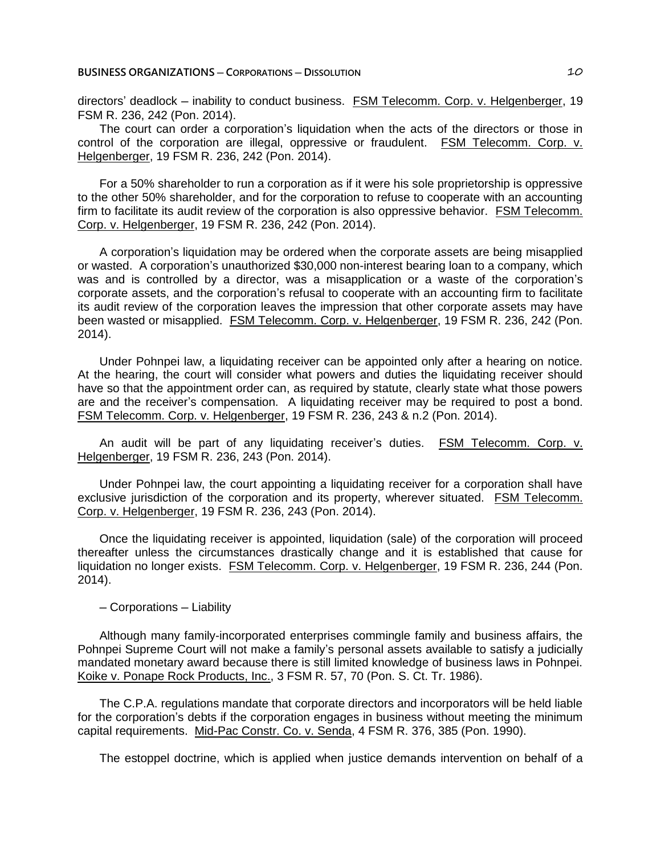### **BUSINESS ORGANIZATIONS ─ CORPORATIONS ─ DISSOLUTION** 10

directors' deadlock - inability to conduct business. FSM Telecomm. Corp. v. Helgenberger, 19 FSM R. 236, 242 (Pon. 2014).

The court can order a corporation's liquidation when the acts of the directors or those in control of the corporation are illegal, oppressive or fraudulent. FSM Telecomm. Corp. v. Helgenberger, 19 FSM R. 236, 242 (Pon. 2014).

For a 50% shareholder to run a corporation as if it were his sole proprietorship is oppressive to the other 50% shareholder, and for the corporation to refuse to cooperate with an accounting firm to facilitate its audit review of the corporation is also oppressive behavior. FSM Telecomm. Corp. v. Helgenberger, 19 FSM R. 236, 242 (Pon. 2014).

A corporation's liquidation may be ordered when the corporate assets are being misapplied or wasted. A corporation's unauthorized \$30,000 non-interest bearing loan to a company, which was and is controlled by a director, was a misapplication or a waste of the corporation's corporate assets, and the corporation's refusal to cooperate with an accounting firm to facilitate its audit review of the corporation leaves the impression that other corporate assets may have been wasted or misapplied. FSM Telecomm. Corp. v. Helgenberger, 19 FSM R. 236, 242 (Pon. 2014).

Under Pohnpei law, a liquidating receiver can be appointed only after a hearing on notice. At the hearing, the court will consider what powers and duties the liquidating receiver should have so that the appointment order can, as required by statute, clearly state what those powers are and the receiver's compensation. A liquidating receiver may be required to post a bond. FSM Telecomm. Corp. v. Helgenberger, 19 FSM R. 236, 243 & n.2 (Pon. 2014).

An audit will be part of any liquidating receiver's duties. FSM Telecomm. Corp. v. Helgenberger, 19 FSM R. 236, 243 (Pon. 2014).

Under Pohnpei law, the court appointing a liquidating receiver for a corporation shall have exclusive jurisdiction of the corporation and its property, wherever situated. FSM Telecomm. Corp. v. Helgenberger, 19 FSM R. 236, 243 (Pon. 2014).

Once the liquidating receiver is appointed, liquidation (sale) of the corporation will proceed thereafter unless the circumstances drastically change and it is established that cause for liquidation no longer exists. FSM Telecomm. Corp. v. Helgenberger, 19 FSM R. 236, 244 (Pon. 2014).

─ Corporations ─ Liability

Although many family-incorporated enterprises commingle family and business affairs, the Pohnpei Supreme Court will not make a family's personal assets available to satisfy a judicially mandated monetary award because there is still limited knowledge of business laws in Pohnpei. Koike v. Ponape Rock Products, Inc., 3 FSM R. 57, 70 (Pon. S. Ct. Tr. 1986).

The C.P.A. regulations mandate that corporate directors and incorporators will be held liable for the corporation's debts if the corporation engages in business without meeting the minimum capital requirements. Mid-Pac Constr. Co. v. Senda, 4 FSM R. 376, 385 (Pon. 1990).

The estoppel doctrine, which is applied when justice demands intervention on behalf of a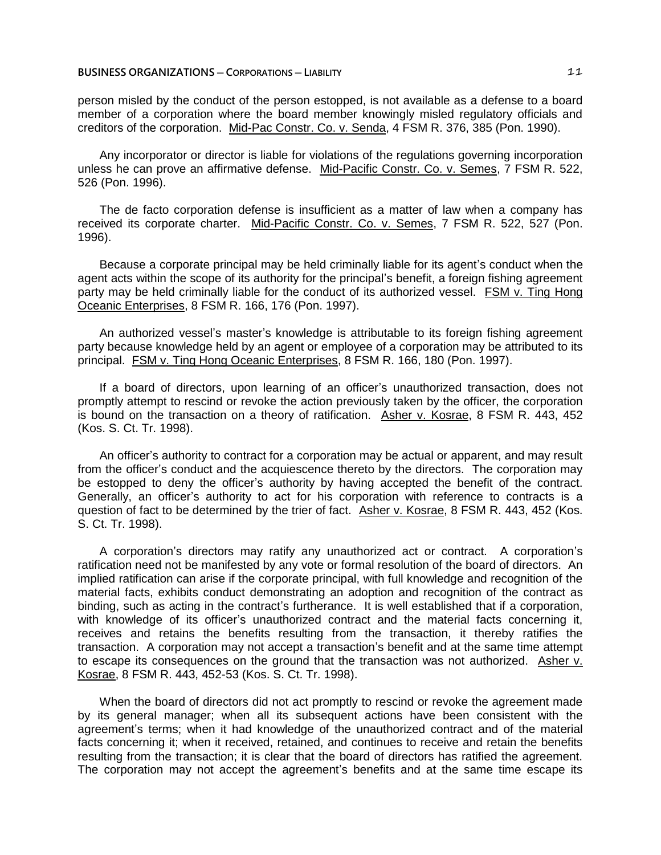# **BUSINESS ORGANIZATIONS ─ CORPORATIONS ─ LIABILITY** 11

person misled by the conduct of the person estopped, is not available as a defense to a board member of a corporation where the board member knowingly misled regulatory officials and creditors of the corporation. Mid-Pac Constr. Co. v. Senda, 4 FSM R. 376, 385 (Pon. 1990).

Any incorporator or director is liable for violations of the regulations governing incorporation unless he can prove an affirmative defense. Mid-Pacific Constr. Co. v. Semes, 7 FSM R. 522, 526 (Pon. 1996).

The de facto corporation defense is insufficient as a matter of law when a company has received its corporate charter. Mid-Pacific Constr. Co. v. Semes, 7 FSM R. 522, 527 (Pon. 1996).

Because a corporate principal may be held criminally liable for its agent's conduct when the agent acts within the scope of its authority for the principal's benefit, a foreign fishing agreement party may be held criminally liable for the conduct of its authorized vessel. FSM v. Ting Hong Oceanic Enterprises, 8 FSM R. 166, 176 (Pon. 1997).

An authorized vessel's master's knowledge is attributable to its foreign fishing agreement party because knowledge held by an agent or employee of a corporation may be attributed to its principal. FSM v. Ting Hong Oceanic Enterprises, 8 FSM R. 166, 180 (Pon. 1997).

If a board of directors, upon learning of an officer's unauthorized transaction, does not promptly attempt to rescind or revoke the action previously taken by the officer, the corporation is bound on the transaction on a theory of ratification. Asher v. Kosrae, 8 FSM R. 443, 452 (Kos. S. Ct. Tr. 1998).

An officer's authority to contract for a corporation may be actual or apparent, and may result from the officer's conduct and the acquiescence thereto by the directors. The corporation may be estopped to deny the officer's authority by having accepted the benefit of the contract. Generally, an officer's authority to act for his corporation with reference to contracts is a question of fact to be determined by the trier of fact. Asher v. Kosrae, 8 FSM R. 443, 452 (Kos. S. Ct. Tr. 1998).

A corporation's directors may ratify any unauthorized act or contract. A corporation's ratification need not be manifested by any vote or formal resolution of the board of directors. An implied ratification can arise if the corporate principal, with full knowledge and recognition of the material facts, exhibits conduct demonstrating an adoption and recognition of the contract as binding, such as acting in the contract's furtherance. It is well established that if a corporation, with knowledge of its officer's unauthorized contract and the material facts concerning it, receives and retains the benefits resulting from the transaction, it thereby ratifies the transaction. A corporation may not accept a transaction's benefit and at the same time attempt to escape its consequences on the ground that the transaction was not authorized. Asher v. Kosrae, 8 FSM R. 443, 452-53 (Kos. S. Ct. Tr. 1998).

When the board of directors did not act promptly to rescind or revoke the agreement made by its general manager; when all its subsequent actions have been consistent with the agreement's terms; when it had knowledge of the unauthorized contract and of the material facts concerning it; when it received, retained, and continues to receive and retain the benefits resulting from the transaction; it is clear that the board of directors has ratified the agreement. The corporation may not accept the agreement's benefits and at the same time escape its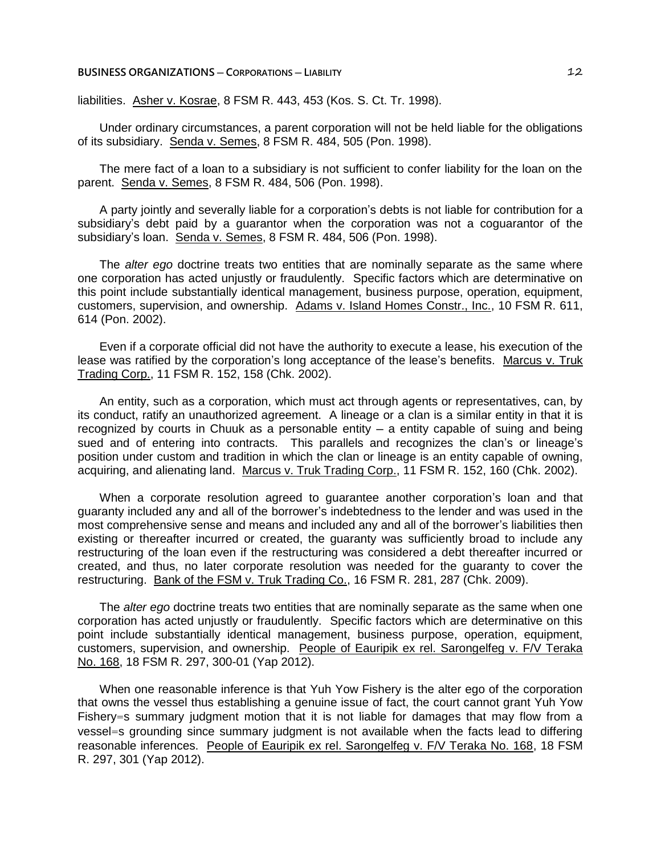#### **BUSINESS ORGANIZATIONS ─ CORPORATIONS ─ LIABILITY** 12

liabilities. Asher v. Kosrae, 8 FSM R. 443, 453 (Kos. S. Ct. Tr. 1998).

Under ordinary circumstances, a parent corporation will not be held liable for the obligations of its subsidiary. Senda v. Semes, 8 FSM R. 484, 505 (Pon. 1998).

The mere fact of a loan to a subsidiary is not sufficient to confer liability for the loan on the parent. Senda v. Semes, 8 FSM R. 484, 506 (Pon. 1998).

A party jointly and severally liable for a corporation's debts is not liable for contribution for a subsidiary's debt paid by a guarantor when the corporation was not a coguarantor of the subsidiary's loan. Senda v. Semes, 8 FSM R. 484, 506 (Pon. 1998).

The *alter ego* doctrine treats two entities that are nominally separate as the same where one corporation has acted unjustly or fraudulently. Specific factors which are determinative on this point include substantially identical management, business purpose, operation, equipment, customers, supervision, and ownership. Adams v. Island Homes Constr., Inc., 10 FSM R. 611, 614 (Pon. 2002).

Even if a corporate official did not have the authority to execute a lease, his execution of the lease was ratified by the corporation's long acceptance of the lease's benefits. Marcus v. Truk Trading Corp., 11 FSM R. 152, 158 (Chk. 2002).

An entity, such as a corporation, which must act through agents or representatives, can, by its conduct, ratify an unauthorized agreement. A lineage or a clan is a similar entity in that it is recognized by courts in Chuuk as a personable entity  $-$  a entity capable of suing and being sued and of entering into contracts. This parallels and recognizes the clan's or lineage's position under custom and tradition in which the clan or lineage is an entity capable of owning, acquiring, and alienating land. Marcus v. Truk Trading Corp., 11 FSM R. 152, 160 (Chk. 2002).

When a corporate resolution agreed to guarantee another corporation's loan and that guaranty included any and all of the borrower's indebtedness to the lender and was used in the most comprehensive sense and means and included any and all of the borrower's liabilities then existing or thereafter incurred or created, the guaranty was sufficiently broad to include any restructuring of the loan even if the restructuring was considered a debt thereafter incurred or created, and thus, no later corporate resolution was needed for the guaranty to cover the restructuring. Bank of the FSM v. Truk Trading Co., 16 FSM R. 281, 287 (Chk. 2009).

The *alter ego* doctrine treats two entities that are nominally separate as the same when one corporation has acted unjustly or fraudulently. Specific factors which are determinative on this point include substantially identical management, business purpose, operation, equipment, customers, supervision, and ownership. People of Eauripik ex rel. Sarongelfeg v. F/V Teraka No. 168, 18 FSM R. 297, 300-01 (Yap 2012).

When one reasonable inference is that Yuh Yow Fishery is the alter ego of the corporation that owns the vessel thus establishing a genuine issue of fact, the court cannot grant Yuh Yow Fishery=s summary judgment motion that it is not liable for damages that may flow from a vessel=s grounding since summary judgment is not available when the facts lead to differing reasonable inferences. People of Eauripik ex rel. Sarongelfeg v. F/V Teraka No. 168, 18 FSM R. 297, 301 (Yap 2012).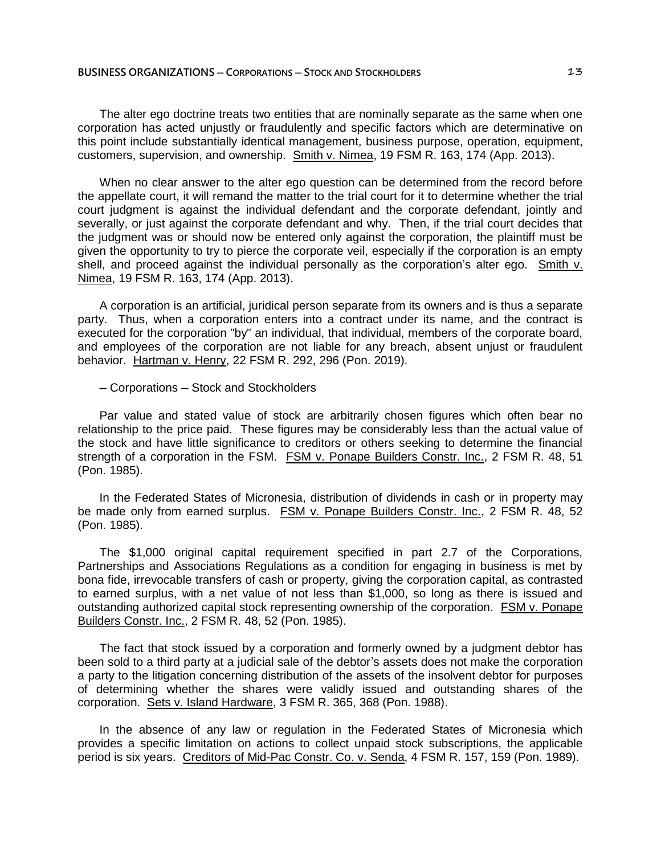The alter ego doctrine treats two entities that are nominally separate as the same when one corporation has acted unjustly or fraudulently and specific factors which are determinative on this point include substantially identical management, business purpose, operation, equipment, customers, supervision, and ownership. Smith v. Nimea, 19 FSM R. 163, 174 (App. 2013).

When no clear answer to the alter ego question can be determined from the record before the appellate court, it will remand the matter to the trial court for it to determine whether the trial court judgment is against the individual defendant and the corporate defendant, jointly and severally, or just against the corporate defendant and why. Then, if the trial court decides that the judgment was or should now be entered only against the corporation, the plaintiff must be given the opportunity to try to pierce the corporate veil, especially if the corporation is an empty shell, and proceed against the individual personally as the corporation's alter ego. Smith v. Nimea, 19 FSM R. 163, 174 (App. 2013).

A corporation is an artificial, juridical person separate from its owners and is thus a separate party. Thus, when a corporation enters into a contract under its name, and the contract is executed for the corporation "by" an individual, that individual, members of the corporate board, and employees of the corporation are not liable for any breach, absent unjust or fraudulent behavior. Hartman v. Henry, 22 FSM R. 292, 296 (Pon. 2019).

─ Corporations ─ Stock and Stockholders

Par value and stated value of stock are arbitrarily chosen figures which often bear no relationship to the price paid. These figures may be considerably less than the actual value of the stock and have little significance to creditors or others seeking to determine the financial strength of a corporation in the FSM. FSM v. Ponape Builders Constr. Inc., 2 FSM R. 48, 51 (Pon. 1985).

In the Federated States of Micronesia, distribution of dividends in cash or in property may be made only from earned surplus. FSM v. Ponape Builders Constr. Inc., 2 FSM R. 48, 52 (Pon. 1985).

The \$1,000 original capital requirement specified in part 2.7 of the Corporations, Partnerships and Associations Regulations as a condition for engaging in business is met by bona fide, irrevocable transfers of cash or property, giving the corporation capital, as contrasted to earned surplus, with a net value of not less than \$1,000, so long as there is issued and outstanding authorized capital stock representing ownership of the corporation. FSM v. Ponape Builders Constr. Inc., 2 FSM R. 48, 52 (Pon. 1985).

The fact that stock issued by a corporation and formerly owned by a judgment debtor has been sold to a third party at a judicial sale of the debtor's assets does not make the corporation a party to the litigation concerning distribution of the assets of the insolvent debtor for purposes of determining whether the shares were validly issued and outstanding shares of the corporation. Sets v. Island Hardware, 3 FSM R. 365, 368 (Pon. 1988).

In the absence of any law or regulation in the Federated States of Micronesia which provides a specific limitation on actions to collect unpaid stock subscriptions, the applicable period is six years. Creditors of Mid-Pac Constr. Co. v. Senda, 4 FSM R. 157, 159 (Pon. 1989).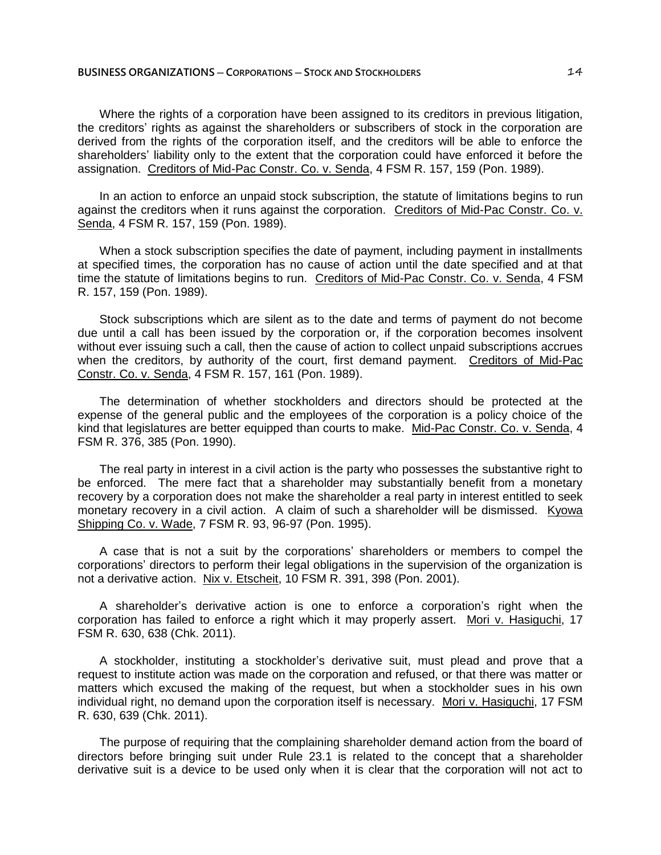Where the rights of a corporation have been assigned to its creditors in previous litigation, the creditors' rights as against the shareholders or subscribers of stock in the corporation are derived from the rights of the corporation itself, and the creditors will be able to enforce the shareholders' liability only to the extent that the corporation could have enforced it before the assignation. Creditors of Mid-Pac Constr. Co. v. Senda, 4 FSM R. 157, 159 (Pon. 1989).

In an action to enforce an unpaid stock subscription, the statute of limitations begins to run against the creditors when it runs against the corporation. Creditors of Mid-Pac Constr. Co. v. Senda, 4 FSM R. 157, 159 (Pon. 1989).

When a stock subscription specifies the date of payment, including payment in installments at specified times, the corporation has no cause of action until the date specified and at that time the statute of limitations begins to run. Creditors of Mid-Pac Constr. Co. v. Senda, 4 FSM R. 157, 159 (Pon. 1989).

Stock subscriptions which are silent as to the date and terms of payment do not become due until a call has been issued by the corporation or, if the corporation becomes insolvent without ever issuing such a call, then the cause of action to collect unpaid subscriptions accrues when the creditors, by authority of the court, first demand payment. Creditors of Mid-Pac Constr. Co. v. Senda, 4 FSM R. 157, 161 (Pon. 1989).

The determination of whether stockholders and directors should be protected at the expense of the general public and the employees of the corporation is a policy choice of the kind that legislatures are better equipped than courts to make. Mid-Pac Constr. Co. v. Senda, 4 FSM R. 376, 385 (Pon. 1990).

The real party in interest in a civil action is the party who possesses the substantive right to be enforced. The mere fact that a shareholder may substantially benefit from a monetary recovery by a corporation does not make the shareholder a real party in interest entitled to seek monetary recovery in a civil action. A claim of such a shareholder will be dismissed. Kyowa Shipping Co. v. Wade, 7 FSM R. 93, 96-97 (Pon. 1995).

A case that is not a suit by the corporations' shareholders or members to compel the corporations' directors to perform their legal obligations in the supervision of the organization is not a derivative action. Nix v. Etscheit, 10 FSM R. 391, 398 (Pon. 2001).

A shareholder's derivative action is one to enforce a corporation's right when the corporation has failed to enforce a right which it may properly assert. Mori v. Hasiguchi, 17 FSM R. 630, 638 (Chk. 2011).

A stockholder, instituting a stockholder's derivative suit, must plead and prove that a request to institute action was made on the corporation and refused, or that there was matter or matters which excused the making of the request, but when a stockholder sues in his own individual right, no demand upon the corporation itself is necessary. Mori v. Hasiguchi, 17 FSM R. 630, 639 (Chk. 2011).

The purpose of requiring that the complaining shareholder demand action from the board of directors before bringing suit under Rule 23.1 is related to the concept that a shareholder derivative suit is a device to be used only when it is clear that the corporation will not act to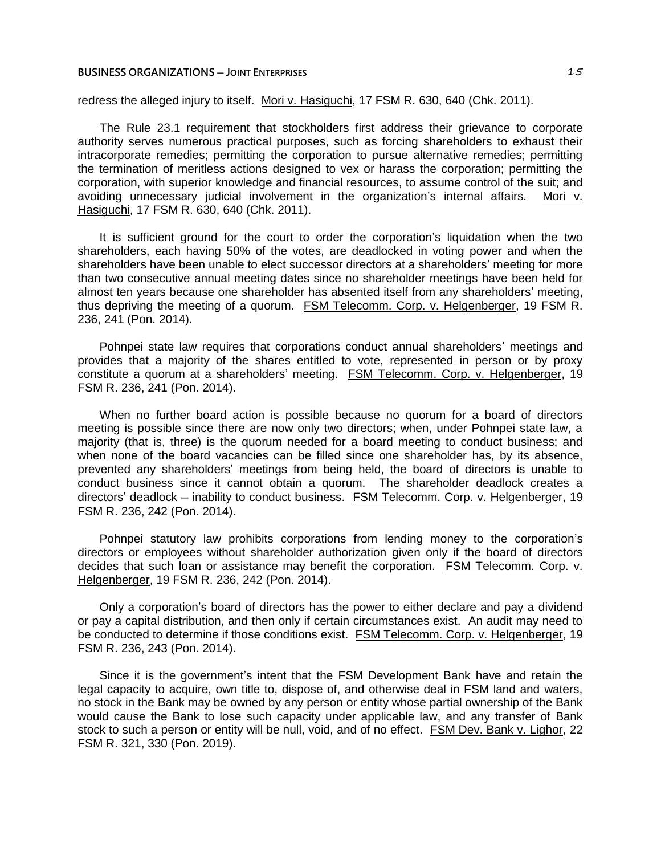#### **BUSINESS ORGANIZATIONS** — **JOINT ENTERPRISES** 15

redress the alleged injury to itself. Mori v. Hasiguchi, 17 FSM R. 630, 640 (Chk. 2011).

The Rule 23.1 requirement that stockholders first address their grievance to corporate authority serves numerous practical purposes, such as forcing shareholders to exhaust their intracorporate remedies; permitting the corporation to pursue alternative remedies; permitting the termination of meritless actions designed to vex or harass the corporation; permitting the corporation, with superior knowledge and financial resources, to assume control of the suit; and avoiding unnecessary judicial involvement in the organization's internal affairs. Mori v. Hasiguchi, 17 FSM R. 630, 640 (Chk. 2011).

It is sufficient ground for the court to order the corporation's liquidation when the two shareholders, each having 50% of the votes, are deadlocked in voting power and when the shareholders have been unable to elect successor directors at a shareholders' meeting for more than two consecutive annual meeting dates since no shareholder meetings have been held for almost ten years because one shareholder has absented itself from any shareholders' meeting, thus depriving the meeting of a quorum. FSM Telecomm. Corp. v. Helgenberger, 19 FSM R. 236, 241 (Pon. 2014).

Pohnpei state law requires that corporations conduct annual shareholders' meetings and provides that a majority of the shares entitled to vote, represented in person or by proxy constitute a quorum at a shareholders' meeting. FSM Telecomm. Corp. v. Helgenberger, 19 FSM R. 236, 241 (Pon. 2014).

When no further board action is possible because no quorum for a board of directors meeting is possible since there are now only two directors; when, under Pohnpei state law, a majority (that is, three) is the quorum needed for a board meeting to conduct business; and when none of the board vacancies can be filled since one shareholder has, by its absence, prevented any shareholders' meetings from being held, the board of directors is unable to conduct business since it cannot obtain a quorum. The shareholder deadlock creates a directors' deadlock — inability to conduct business. FSM Telecomm. Corp. v. Helgenberger, 19 FSM R. 236, 242 (Pon. 2014).

Pohnpei statutory law prohibits corporations from lending money to the corporation's directors or employees without shareholder authorization given only if the board of directors decides that such loan or assistance may benefit the corporation. FSM Telecomm. Corp. v. Helgenberger, 19 FSM R. 236, 242 (Pon. 2014).

Only a corporation's board of directors has the power to either declare and pay a dividend or pay a capital distribution, and then only if certain circumstances exist. An audit may need to be conducted to determine if those conditions exist. FSM Telecomm. Corp. v. Helgenberger, 19 FSM R. 236, 243 (Pon. 2014).

Since it is the government's intent that the FSM Development Bank have and retain the legal capacity to acquire, own title to, dispose of, and otherwise deal in FSM land and waters, no stock in the Bank may be owned by any person or entity whose partial ownership of the Bank would cause the Bank to lose such capacity under applicable law, and any transfer of Bank stock to such a person or entity will be null, void, and of no effect. FSM Dev. Bank v. Lighor, 22 FSM R. 321, 330 (Pon. 2019).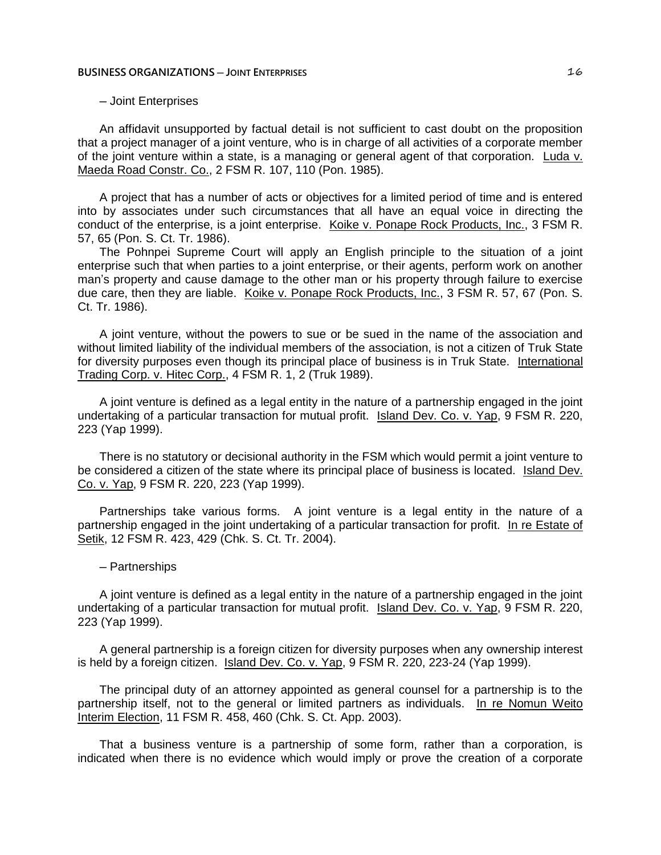#### **BUSINESS ORGANIZATIONS** — **JOINT ENTERPRISES CONTENT ASSAULT ASSAULT ASSAULT ASSAULT ASSAULT ASSAULT ASSAULT ASSAULT ASSAULT ASSAULT ASSAULT ASSAULT ASSAULT ASSAULT ASSAULT ASSAULT ASSAULT ASSAULT ASSAULT ASSAULT ASSAUL**

─ Joint Enterprises

An affidavit unsupported by factual detail is not sufficient to cast doubt on the proposition that a project manager of a joint venture, who is in charge of all activities of a corporate member of the joint venture within a state, is a managing or general agent of that corporation. Luda v. Maeda Road Constr. Co., 2 FSM R. 107, 110 (Pon. 1985).

A project that has a number of acts or objectives for a limited period of time and is entered into by associates under such circumstances that all have an equal voice in directing the conduct of the enterprise, is a joint enterprise. Koike v. Ponape Rock Products, Inc., 3 FSM R. 57, 65 (Pon. S. Ct. Tr. 1986).

The Pohnpei Supreme Court will apply an English principle to the situation of a joint enterprise such that when parties to a joint enterprise, or their agents, perform work on another man's property and cause damage to the other man or his property through failure to exercise due care, then they are liable. Koike v. Ponape Rock Products, Inc., 3 FSM R. 57, 67 (Pon. S. Ct. Tr. 1986).

A joint venture, without the powers to sue or be sued in the name of the association and without limited liability of the individual members of the association, is not a citizen of Truk State for diversity purposes even though its principal place of business is in Truk State. International Trading Corp. v. Hitec Corp., 4 FSM R. 1, 2 (Truk 1989).

A joint venture is defined as a legal entity in the nature of a partnership engaged in the joint undertaking of a particular transaction for mutual profit. Island Dev. Co. v. Yap, 9 FSM R. 220, 223 (Yap 1999).

There is no statutory or decisional authority in the FSM which would permit a joint venture to be considered a citizen of the state where its principal place of business is located. Island Dev. Co. v. Yap, 9 FSM R. 220, 223 (Yap 1999).

Partnerships take various forms. A joint venture is a legal entity in the nature of a partnership engaged in the joint undertaking of a particular transaction for profit. In re Estate of Setik, 12 FSM R. 423, 429 (Chk. S. Ct. Tr. 2004).

─ Partnerships

A joint venture is defined as a legal entity in the nature of a partnership engaged in the joint undertaking of a particular transaction for mutual profit. Island Dev. Co. v. Yap, 9 FSM R. 220, 223 (Yap 1999).

A general partnership is a foreign citizen for diversity purposes when any ownership interest is held by a foreign citizen. Island Dev. Co. v. Yap, 9 FSM R. 220, 223-24 (Yap 1999).

The principal duty of an attorney appointed as general counsel for a partnership is to the partnership itself, not to the general or limited partners as individuals. In re Nomun Weito Interim Election, 11 FSM R. 458, 460 (Chk. S. Ct. App. 2003).

That a business venture is a partnership of some form, rather than a corporation, is indicated when there is no evidence which would imply or prove the creation of a corporate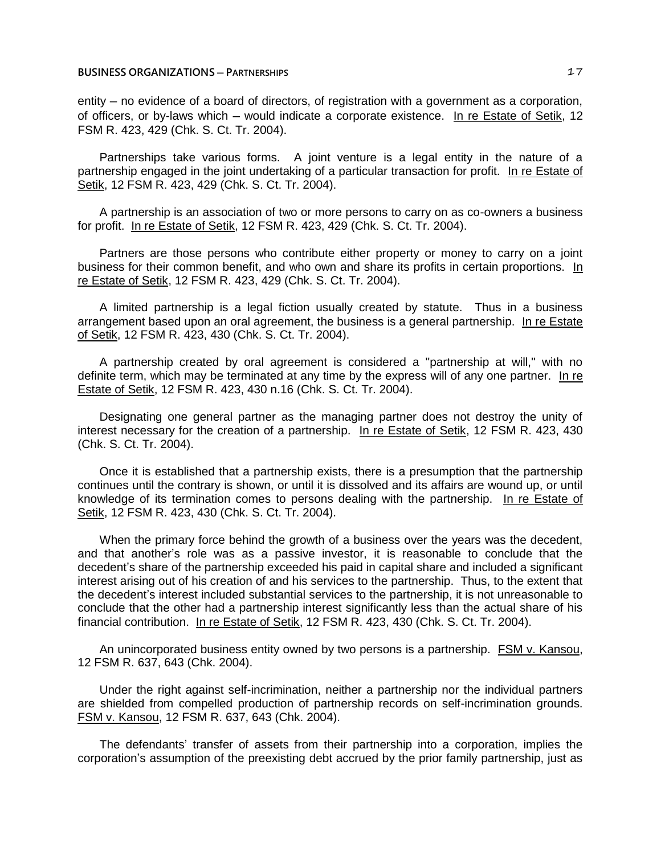#### **BUSINESS ORGANIZATIONS ─ PARTNERSHIPS** 17

entity – no evidence of a board of directors, of registration with a government as a corporation, of officers, or by-laws which — would indicate a corporate existence. In re Estate of Setik, 12 FSM R. 423, 429 (Chk. S. Ct. Tr. 2004).

Partnerships take various forms. A joint venture is a legal entity in the nature of a partnership engaged in the joint undertaking of a particular transaction for profit. In re Estate of Setik, 12 FSM R. 423, 429 (Chk. S. Ct. Tr. 2004).

A partnership is an association of two or more persons to carry on as co-owners a business for profit. In re Estate of Setik, 12 FSM R. 423, 429 (Chk. S. Ct. Tr. 2004).

Partners are those persons who contribute either property or money to carry on a joint business for their common benefit, and who own and share its profits in certain proportions. In re Estate of Setik, 12 FSM R. 423, 429 (Chk. S. Ct. Tr. 2004).

A limited partnership is a legal fiction usually created by statute. Thus in a business arrangement based upon an oral agreement, the business is a general partnership. In re Estate of Setik, 12 FSM R. 423, 430 (Chk. S. Ct. Tr. 2004).

A partnership created by oral agreement is considered a "partnership at will," with no definite term, which may be terminated at any time by the express will of any one partner. In re Estate of Setik, 12 FSM R. 423, 430 n.16 (Chk. S. Ct. Tr. 2004).

Designating one general partner as the managing partner does not destroy the unity of interest necessary for the creation of a partnership. In re Estate of Setik, 12 FSM R. 423, 430 (Chk. S. Ct. Tr. 2004).

Once it is established that a partnership exists, there is a presumption that the partnership continues until the contrary is shown, or until it is dissolved and its affairs are wound up, or until knowledge of its termination comes to persons dealing with the partnership. In re Estate of Setik, 12 FSM R. 423, 430 (Chk. S. Ct. Tr. 2004).

When the primary force behind the growth of a business over the years was the decedent, and that another's role was as a passive investor, it is reasonable to conclude that the decedent's share of the partnership exceeded his paid in capital share and included a significant interest arising out of his creation of and his services to the partnership. Thus, to the extent that the decedent's interest included substantial services to the partnership, it is not unreasonable to conclude that the other had a partnership interest significantly less than the actual share of his financial contribution. In re Estate of Setik, 12 FSM R. 423, 430 (Chk. S. Ct. Tr. 2004).

An unincorporated business entity owned by two persons is a partnership. FSM v. Kansou, 12 FSM R. 637, 643 (Chk. 2004).

Under the right against self-incrimination, neither a partnership nor the individual partners are shielded from compelled production of partnership records on self-incrimination grounds. FSM v. Kansou, 12 FSM R. 637, 643 (Chk. 2004).

The defendants' transfer of assets from their partnership into a corporation, implies the corporation's assumption of the preexisting debt accrued by the prior family partnership, just as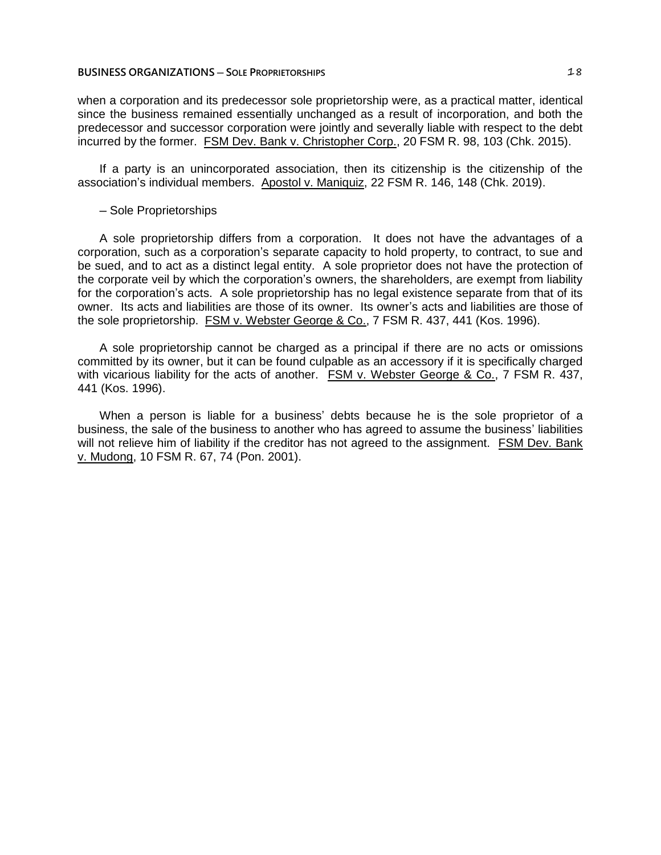# **BUSINESS ORGANIZATIONS ─ SOLE PROPRIETORSHIPS** 18

when a corporation and its predecessor sole proprietorship were, as a practical matter, identical since the business remained essentially unchanged as a result of incorporation, and both the predecessor and successor corporation were jointly and severally liable with respect to the debt incurred by the former. FSM Dev. Bank v. Christopher Corp., 20 FSM R. 98, 103 (Chk. 2015).

If a party is an unincorporated association, then its citizenship is the citizenship of the association's individual members. Apostol v. Maniquiz, 22 FSM R. 146, 148 (Chk. 2019).

# ─ Sole Proprietorships

A sole proprietorship differs from a corporation. It does not have the advantages of a corporation, such as a corporation's separate capacity to hold property, to contract, to sue and be sued, and to act as a distinct legal entity. A sole proprietor does not have the protection of the corporate veil by which the corporation's owners, the shareholders, are exempt from liability for the corporation's acts. A sole proprietorship has no legal existence separate from that of its owner. Its acts and liabilities are those of its owner. Its owner's acts and liabilities are those of the sole proprietorship. FSM v. Webster George & Co., 7 FSM R. 437, 441 (Kos. 1996).

A sole proprietorship cannot be charged as a principal if there are no acts or omissions committed by its owner, but it can be found culpable as an accessory if it is specifically charged with vicarious liability for the acts of another. FSM v. Webster George & Co., 7 FSM R. 437, 441 (Kos. 1996).

When a person is liable for a business' debts because he is the sole proprietor of a business, the sale of the business to another who has agreed to assume the business' liabilities will not relieve him of liability if the creditor has not agreed to the assignment. FSM Dev. Bank v. Mudong, 10 FSM R. 67, 74 (Pon. 2001).